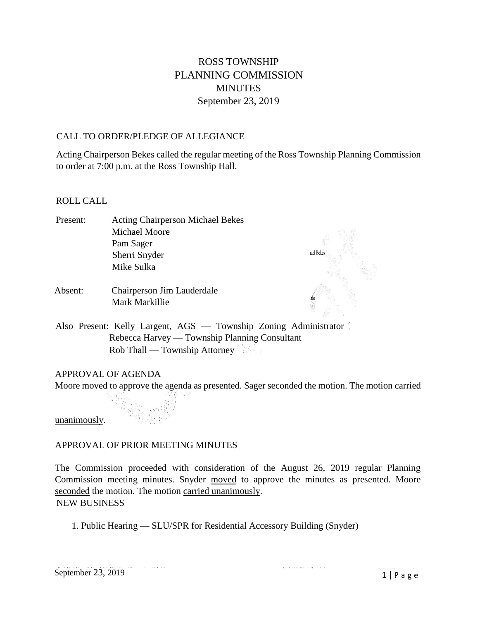# ROSS TOWNSHIP PLANNING COMMISSION MINUTES September 23, 2019

# CALL TO ORDER/PLEDGE OF ALLEGIANCE

Acting Chairperson Bekes called the regular meeting of the Ross Township Planning Commission to order at 7:00 p.m. at the Ross Township Hall.

# ROLL CALL

- Present: Acting Chairperson Michael Bekes Michael Moore Pam Sager Sherri Snyder Mike Sulka
- Absent: Chairperson Jim Lauderdale Mark Markillie



Also Present: Kelly Largent, AGS — Township Zoning Administrator Rebecca Harvey — Township Planning Consultant Rob Thall — Township Attorney

# APPROVAL OF AGENDA

Moore moved to approve the agenda as presented. Sager seconded the motion. The motion carried

unanimously.

# APPROVAL OF PRIOR MEETING MINUTES

The Commission proceeded with consideration of the August 26, 2019 regular Planning Commission meeting minutes. Snyder moved to approve the minutes as presented. Moore seconded the motion. The motion carried unanimously. NEW BUSINESS

1. Public Hearing — SLU/SPR for Residential Accessory Building (Snyder)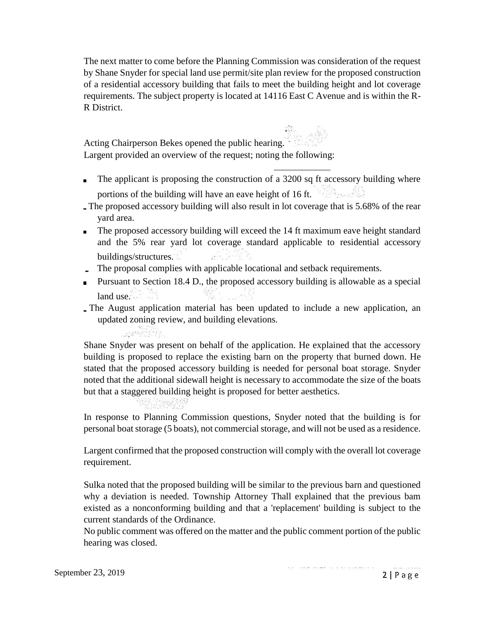The next matter to come before the Planning Commission was consideration of the request by Shane Snyder for special land use permit/site plan review for the proposed construction of a residential accessory building that fails to meet the building height and lot coverage requirements. The subject property is located at 14116 East C Avenue and is within the R-R District.

Acting Chairperson Bekes opened the public hearing. Largent provided an overview of the request; noting the following:

- The applicant is proposing the construction of a 3200 sq ft accessory building where portions of the building will have an eave height of 16 ft.
- The proposed accessory building will also result in lot coverage that is 5.68% of the rear yard area.
- The proposed accessory building will exceed the 14 ft maximum eave height standard and the 5% rear yard lot coverage standard applicable to residential accessory buildings/structures.
- The proposal complies with applicable locational and setback requirements.
- Pursuant to Section 18.4 D., the proposed accessory building is allowable as a special land use.
- The August application material has been updated to include a new application, an updated zoning review, and building elevations.

Shane Snyder was present on behalf of the application. He explained that the accessory building is proposed to replace the existing barn on the property that burned down. He stated that the proposed accessory building is needed for personal boat storage. Snyder noted that the additional sidewall height is necessary to accommodate the size of the boats but that a staggered building height is proposed for better aesthetics.

Lamarki (b. 12

In response to Planning Commission questions, Snyder noted that the building is for personal boat storage (5 boats), not commercial storage, and will not be used as a residence.

Largent confirmed that the proposed construction will comply with the overall lot coverage requirement.

Sulka noted that the proposed building will be similar to the previous barn and questioned why a deviation is needed. Township Attorney Thall explained that the previous bam existed as a nonconforming building and that a 'replacement' building is subject to the current standards of the Ordinance.

No public comment was offered on the matter and the public comment portion of the public hearing was closed.

 $2|Page$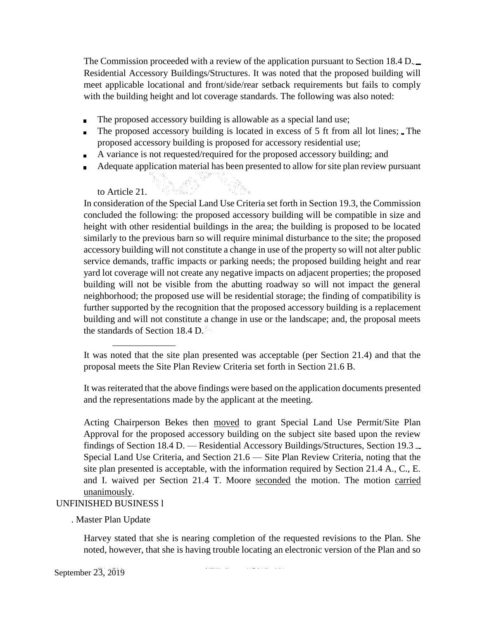The Commission proceeded with a review of the application pursuant to Section 18.4 D. Residential Accessory Buildings/Structures. It was noted that the proposed building will meet applicable locational and front/side/rear setback requirements but fails to comply with the building height and lot coverage standards. The following was also noted:

- The proposed accessory building is allowable as a special land use;
- The proposed accessory building is located in excess of 5 ft from all lot lines; The proposed accessory building is proposed for accessory residential use;
- A variance is not requested/required for the proposed accessory building; and  $\blacksquare$
- Adequate application material has been presented to allow for site plan review pursuant

# to Article 21.

In consideration of the Special Land Use Criteria set forth in Section 19.3, the Commission concluded the following: the proposed accessory building will be compatible in size and height with other residential buildings in the area; the building is proposed to be located similarly to the previous barn so will require minimal disturbance to the site; the proposed accessory building will not constitute a change in use of the property so will not alter public service demands, traffic impacts or parking needs; the proposed building height and rear yard lot coverage will not create any negative impacts on adjacent properties; the proposed building will not be visible from the abutting roadway so will not impact the general neighborhood; the proposed use will be residential storage; the finding of compatibility is further supported by the recognition that the proposed accessory building is a replacement building and will not constitute a change in use or the landscape; and, the proposal meets the standards of Section 18.4 D.

It was reiterated that the above findings were based on the application documents presented and the representations made by the applicant at the meeting.

Acting Chairperson Bekes then moved to grant Special Land Use Permit/Site Plan Approval for the proposed accessory building on the subject site based upon the review findings of Section 18.4 D. — Residential Accessory Buildings/Structures, Section 19.3 Special Land Use Criteria, and Section 21.6 — Site Plan Review Criteria, noting that the site plan presented is acceptable, with the information required by Section 21.4 A., C., E. and I. waived per Section 21.4 T. Moore seconded the motion. The motion carried unanimously.

# UNFINISHED BUSINESS l

. Master Plan Update

Harvey stated that she is nearing completion of the requested revisions to the Plan. She noted, however, that she is having trouble locating an electronic version of the Plan and so

and the contract of the contract of

a concerta con

September 23, 2019

It was noted that the site plan presented was acceptable (per Section 21.4) and that the proposal meets the Site Plan Review Criteria set forth in Section 21.6 B.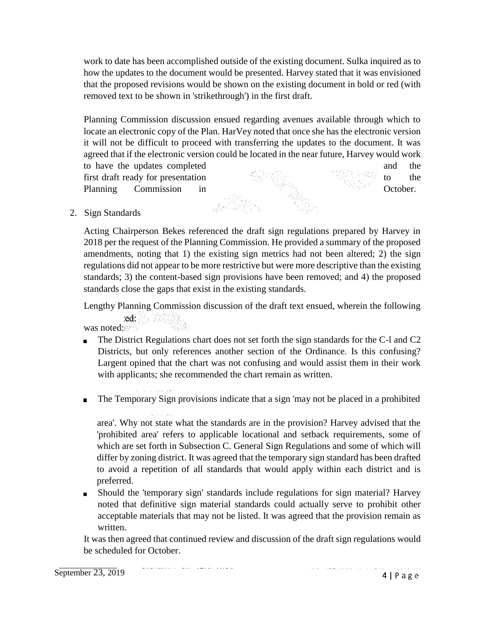work to date has been accomplished outside of the existing document. Sulka inquired as to how the updates to the document would be presented. Harvey stated that it was envisioned that the proposed revisions would be shown on the existing document in bold or red (with removed text to be shown in 'strikethrough') in the first draft.

Planning Commission discussion ensued regarding avenues available through which to locate an electronic copy of the Plan. HarVey noted that once she has the electronic version it will not be difficult to proceed with transferring the updates to the document. It was agreed that if the electronic version could be located in the near future, Harvey would work to have the updates completed and the first draft ready for presentation to the theorem is the total to the the total to the theorem is the total to the the total to the theorem is the total to the theorem is the total to the theorem is the total to the theore Planning Commission in the Commission in Corollary Commission in the Corollary Control of the Corollary Commission in the Corollary Corollary Commission in the Corollary Corollary Commission in the Corollary Corollary Comm

2. Sign Standards

Acting Chairperson Bekes referenced the draft sign regulations prepared by Harvey in 2018 per the request of the Planning Commission. He provided a summary of the proposed amendments, noting that 1) the existing sign metrics had not been altered; 2) the sign regulations did not appear to be more restrictive but were more descriptive than the existing standards; 3) the content-based sign provisions have been removed; and 4) the proposed standards close the gaps that exist in the existing standards.

Lengthy Planning Commission discussion of the draft text ensued, wherein the following ed:

was noted:

- The District Regulations chart does not set forth the sign standards for the C-l and C2 Districts, but only references another section of the Ordinance. Is this confusing? Largent opined that the chart was not confusing and would assist them in their work with applicants; she recommended the chart remain as written.
- The Temporary Sign provisions indicate that a sign 'may not be placed in a prohibited

area'. Why not state what the standards are in the provision? Harvey advised that the 'prohibited area' refers to applicable locational and setback requirements, some of which are set forth in Subsection C. General Sign Regulations and some of which will differ by zoning district. It was agreed that the temporary sign standard has been drafted to avoid a repetition of all standards that would apply within each district and is preferred.

Should the 'temporary sign' standards include regulations for sign material? Harvey noted that definitive sign material standards could actually serve to prohibit other acceptable materials that may not be listed. It was agreed that the provision remain as written.

It was then agreed that continued review and discussion of the draft sign regulations would be scheduled for October.

<u> 1955 - Paul Marie Marie Marie Marie Marie Marie Marie Marie Marie Marie Marie Marie Marie Marie Marie Marie M</u>

September 23, 2019

 $4 | P \text{age}$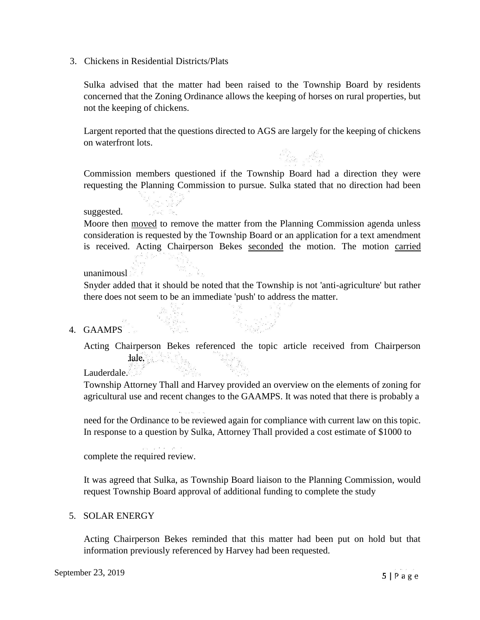3. Chickens in Residential Districts/Plats

Sulka advised that the matter had been raised to the Township Board by residents concerned that the Zoning Ordinance allows the keeping of horses on rural properties, but not the keeping of chickens.

Largent reported that the questions directed to AGS are largely for the keeping of chickens on waterfront lots.

Ar

Commission members questioned if the Township Board had a direction they were requesting the Planning Commission to pursue. Sulka stated that no direction had been

### suggested.

Moore then moved to remove the matter from the Planning Commission agenda unless consideration is requested by the Township Board or an application for a text amendment is received. Acting Chairperson Bekes seconded the motion. The motion carried

### unanimousl

Snyder added that it should be noted that the Township is not 'anti-agriculture' but rather there does not seem to be an immediate 'push' to address the matter.

### 4. GAAMPS

Acting Chairperson Bekes referenced the topic article received from Chairperson

Lauderdale.

Township Attorney Thall and Harvey provided an overview on the elements of zoning for agricultural use and recent changes to the GAAMPS. It was noted that there is probably a

need for the Ordinance to be reviewed again for compliance with current law on this topic. In response to a question by Sulka, Attorney Thall provided a cost estimate of \$1000 to

complete the required review.

It was agreed that Sulka, as Township Board liaison to the Planning Commission, would request Township Board approval of additional funding to complete the study

#### 5. SOLAR ENERGY

Acting Chairperson Bekes reminded that this matter had been put on hold but that information previously referenced by Harvey had been requested.